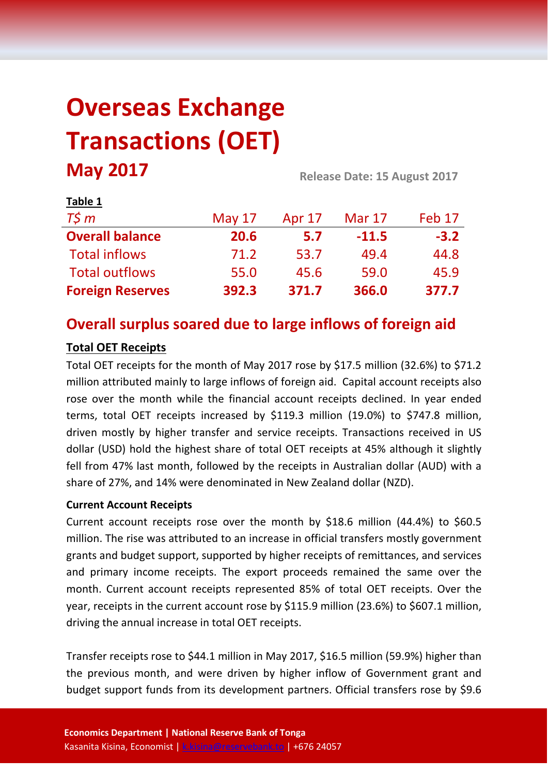# **Overseas Exchange Transactions (OET) May 2017 Release Date: 15 August <sup>2017</sup>**

| . uwie ±                |          |        |               |        |  |
|-------------------------|----------|--------|---------------|--------|--|
| $T\zeta m$              | May $17$ | Apr 17 | <b>Mar 17</b> | Feb 17 |  |
| <b>Overall balance</b>  | 20.6     | 5.7    | $-11.5$       | $-3.2$ |  |
| <b>Total inflows</b>    | 71.2     | 53.7   | 49.4          | 44.8   |  |
| <b>Total outflows</b>   | 55.0     | 45.6   | 59.0          | 45.9   |  |
| <b>Foreign Reserves</b> | 392.3    | 371.7  | 366.0         | 377.7  |  |

## **Overall surplus soared due to large inflows of foreign aid**

#### **Total OET Receipts**

**Table 1**

Total OET receipts for the month of May 2017 rose by \$17.5 million (32.6%) to \$71.2 million attributed mainly to large inflows of foreign aid. Capital account receipts also rose over the month while the financial account receipts declined. In year ended terms, total OET receipts increased by \$119.3 million (19.0%) to \$747.8 million, driven mostly by higher transfer and service receipts. Transactions received in US dollar (USD) hold the highest share of total OET receipts at 45% although it slightly fell from 47% last month, followed by the receipts in Australian dollar (AUD) with a share of 27%, and 14% were denominated in New Zealand dollar (NZD).

#### **Current Account Receipts**

Current account receipts rose over the month by \$18.6 million (44.4%) to \$60.5 million. The rise was attributed to an increase in official transfers mostly government grants and budget support, supported by higher receipts of remittances, and services and primary income receipts. The export proceeds remained the same over the month. Current account receipts represented 85% of total OET receipts. Over the year, receipts in the current account rose by \$115.9 million (23.6%) to \$607.1 million, driving the annual increase in total OET receipts.

Transfer receipts rose to \$44.1 million in May 2017, \$16.5 million (59.9%) higher than the previous month, and were driven by higher inflow of Government grant and budget support funds from its development partners. Official transfers rose by \$9.6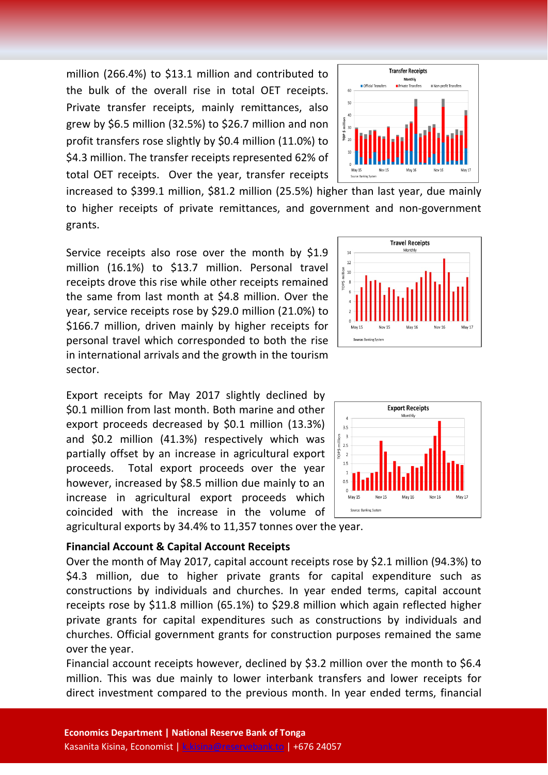million (266.4%) to \$13.1 million and contributed to the bulk of the overall rise in total OET receipts. Private transfer receipts, mainly remittances, also grew by \$6.5 million (32.5%) to \$26.7 million and non profit transfers rose slightly by \$0.4 million (11.0%) to \$4.3 million. The transfer receipts represented 62% of total OET receipts. Over the year, transfer receipts

increased to \$399.1 million, \$81.2 million (25.5%) higher than last year, due mainly to higher receipts of private remittances, and government and non-government grants.

Service receipts also rose over the month by \$1.9 million (16.1%) to \$13.7 million. Personal travel receipts drove this rise while other receipts remained the same from last month at \$4.8 million. Over the year, service receipts rose by \$29.0 million (21.0%) to \$166.7 million, driven mainly by higher receipts for personal travel which corresponded to both the rise in international arrivals and the growth in the tourism sector.

Export receipts for May 2017 slightly declined by \$0.1 million from last month. Both marine and other export proceeds decreased by \$0.1 million (13.3%) and \$0.2 million (41.3%) respectively which was partially offset by an increase in agricultural export proceeds. Total export proceeds over the year however, increased by \$8.5 million due mainly to an increase in agricultural export proceeds which coincided with the increase in the volume of agricultural exports by 34.4% to 11,357 tonnes over the year.

#### **Financial Account & Capital Account Receipts**

Over the month of May 2017, capital account receipts rose by \$2.1 million (94.3%) to \$4.3 million, due to higher private grants for capital expenditure such as constructions by individuals and churches. In year ended terms, capital account receipts rose by \$11.8 million (65.1%) to \$29.8 million which again reflected higher private grants for capital expenditures such as constructions by individuals and churches. Official government grants for construction purposes remained the same over the year.

Financial account receipts however, declined by \$3.2 million over the month to \$6.4 million. This was due mainly to lower interbank transfers and lower receipts for direct investment compared to the previous month. In year ended terms, financial





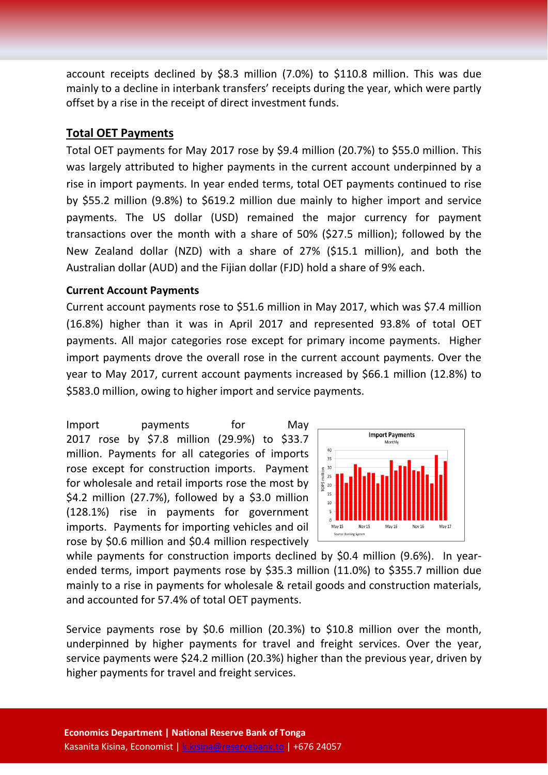account receipts declined by \$8.3 million (7.0%) to \$110.8 million. This was due mainly to a decline in interbank transfers' receipts during the year, which were partly offset by a rise in the receipt of direct investment funds.

#### **Total OET Payments**

Total OET payments for May 2017 rose by \$9.4 million (20.7%) to \$55.0 million. This was largely attributed to higher payments in the current account underpinned by a rise in import payments. In year ended terms, total OET payments continued to rise by \$55.2 million (9.8%) to \$619.2 million due mainly to higher import and service payments. The US dollar (USD) remained the major currency for payment transactions over the month with a share of 50% (\$27.5 million); followed by the New Zealand dollar (NZD) with a share of 27% (\$15.1 million), and both the Australian dollar (AUD) and the Fijian dollar (FJD) hold a share of 9% each.

#### **Current Account Payments**

Current account payments rose to \$51.6 million in May 2017, which was \$7.4 million (16.8%) higher than it was in April 2017 and represented 93.8% of total OET payments. All major categories rose except for primary income payments. Higher import payments drove the overall rose in the current account payments. Over the year to May 2017, current account payments increased by \$66.1 million (12.8%) to \$583.0 million, owing to higher import and service payments.

Import payments for May 2017 rose by \$7.8 million (29.9%) to \$33.7 million. Payments for all categories of imports rose except for construction imports. Payment for wholesale and retail imports rose the most by  $$4.2$  million (27.7%), followed by a  $$3.0$  million (128.1%) rise in payments for government imports. Payments for importing vehicles and oil rose by \$0.6 million and \$0.4 million respectively



while payments for construction imports declined by \$0.4 million (9.6%). In yearended terms, import payments rose by \$35.3 million (11.0%) to \$355.7 million due mainly to a rise in payments for wholesale & retail goods and construction materials, and accounted for 57.4% of total OET payments.

Service payments rose by \$0.6 million (20.3%) to \$10.8 million over the month, underpinned by higher payments for travel and freight services. Over the year, service payments were \$24.2 million (20.3%) higher than the previous year, driven by higher payments for travel and freight services.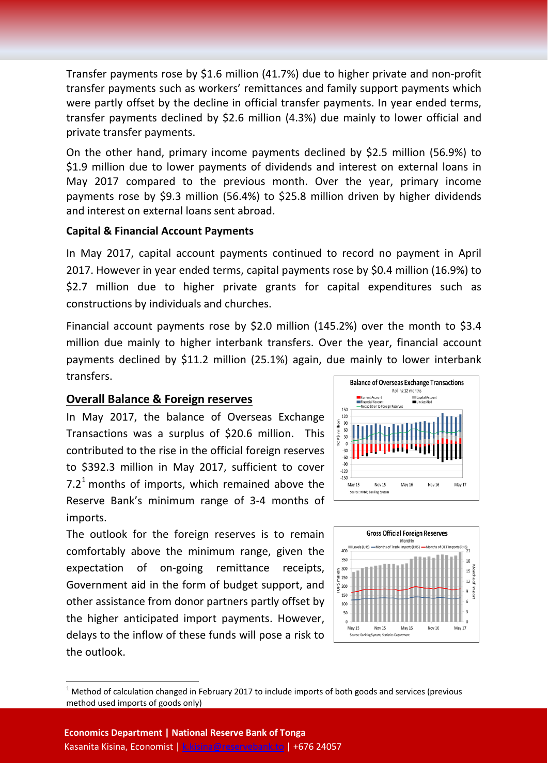Transfer payments rose by \$1.6 million (41.7%) due to higher private and non-profit transfer payments such as workers' remittances and family support payments which were partly offset by the decline in official transfer payments. In year ended terms, transfer payments declined by \$2.6 million (4.3%) due mainly to lower official and private transfer payments.

On the other hand, primary income payments declined by \$2.5 million (56.9%) to \$1.9 million due to lower payments of dividends and interest on external loans in May 2017 compared to the previous month. Over the year, primary income payments rose by \$9.3 million (56.4%) to \$25.8 million driven by higher dividends and interest on external loans sent abroad.

#### **Capital & Financial Account Payments**

In May 2017, capital account payments continued to record no payment in April 2017. However in year ended terms, capital payments rose by \$0.4 million (16.9%) to \$2.7 million due to higher private grants for capital expenditures such as constructions by individuals and churches.

Financial account payments rose by \$2.0 million (145.2%) over the month to \$3.4 million due mainly to higher interbank transfers. Over the year, financial account payments declined by \$11.2 million (25.1%) again, due mainly to lower interbank transfers.

#### **Overall Balance & Foreign reserves**

In May 2017, the balance of Overseas Exchange Transactions was a surplus of \$20.6 million. This contributed to the rise in the official foreign reserves to \$392.3 million in May 2017, sufficient to cover 7.2<sup>[1](#page-3-0)</sup> months of imports, which remained above the Reserve Bank's minimum range of 3-4 months of imports.

The outlook for the foreign reserves is to remain comfortably above the minimum range, given the expectation of on-going remittance receipts, Government aid in the form of budget support, and other assistance from donor partners partly offset by the higher anticipated import payments. However, delays to the inflow of these funds will pose a risk to the outlook.





<span id="page-3-0"></span> $1$  Method of calculation changed in February 2017 to include imports of both goods and services (previous method used imports of goods only)